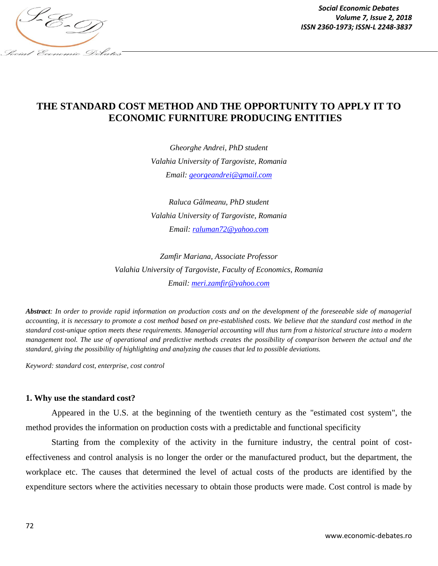

*Social Economic Debates Volume 7, Issue 2, 2018*

# **THE STANDARD COST METHOD AND THE OPPORTUNITY TO APPLY IT TO ECONOMIC FURNITURE PRODUCING ENTITIES**

*Gheorghe Andrei, PhD student Valahia University of Targoviste, Romania Email: [georgeandrei@gmail.com](mailto:georgeandrei@gmail.com)*

*Raluca Gâlmeanu, PhD student Valahia University of Targoviste, Romania Email: [raluman72@yahoo.com](mailto:raluman72@yahoo.com)*

*Zamfir Mariana, Associate Professor Valahia University of Targoviste, Faculty of Economics, Romania Email: [meri.zamfir@yahoo.com](mailto:meri.zamfir@yahoo.com)*

*Abstract: In order to provide rapid information on production costs and on the development of the foreseeable side of managerial accounting, it is necessary to promote a cost method based on pre-established costs. We believe that the standard cost method in the standard cost-unique option meets these requirements. Managerial accounting will thus turn from a historical structure into a modern management tool. The use of operational and predictive methods creates the possibility of comparison between the actual and the standard, giving the possibility of highlighting and analyzing the causes that led to possible deviations.*

*Keyword: standard cost, enterprise, cost control*

#### **1. Why use the standard cost?**

Appeared in the U.S. at the beginning of the twentieth century as the "estimated cost system", the method provides the information on production costs with a predictable and functional specificity

Starting from the complexity of the activity in the furniture industry, the central point of costeffectiveness and control analysis is no longer the order or the manufactured product, but the department, the workplace etc. The causes that determined the level of actual costs of the products are identified by the expenditure sectors where the activities necessary to obtain those products were made. Cost control is made by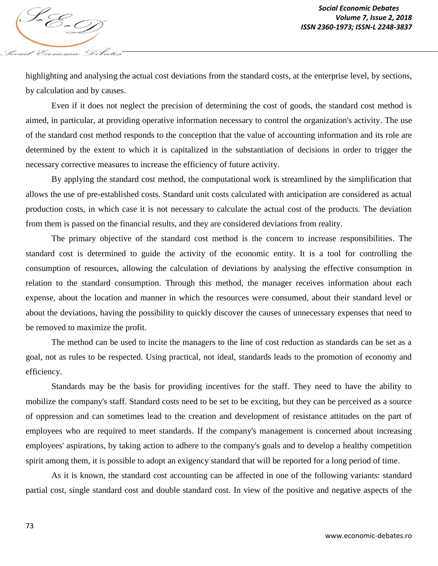highlighting and analysing the actual cost deviations from the standard costs, at the enterprise level, by sections, by calculation and by causes.

Even if it does not neglect the precision of determining the cost of goods, the standard cost method is aimed, in particular, at providing operative information necessary to control the organization's activity. The use of the standard cost method responds to the conception that the value of accounting information and its role are determined by the extent to which it is capitalized in the substantiation of decisions in order to trigger the necessary corrective measures to increase the efficiency of future activity.

By applying the standard cost method, the computational work is streamlined by the simplification that allows the use of pre-established costs. Standard unit costs calculated with anticipation are considered as actual production costs, in which case it is not necessary to calculate the actual cost of the products. The deviation from them is passed on the financial results, and they are considered deviations from reality.

The primary objective of the standard cost method is the concern to increase responsibilities. The standard cost is determined to guide the activity of the economic entity. It is a tool for controlling the consumption of resources, allowing the calculation of deviations by analysing the effective consumption in relation to the standard consumption. Through this method, the manager receives information about each expense, about the location and manner in which the resources were consumed, about their standard level or about the deviations, having the possibility to quickly discover the causes of unnecessary expenses that need to be removed to maximize the profit.

The method can be used to incite the managers to the line of cost reduction as standards can be set as a goal, not as rules to be respected. Using practical, not ideal, standards leads to the promotion of economy and efficiency.

Standards may be the basis for providing incentives for the staff. They need to have the ability to mobilize the company's staff. Standard costs need to be set to be exciting, but they can be perceived as a source of oppression and can sometimes lead to the creation and development of resistance attitudes on the part of employees who are required to meet standards. If the company's management is concerned about increasing employees' aspirations, by taking action to adhere to the company's goals and to develop a healthy competition spirit among them, it is possible to adopt an exigency standard that will be reported for a long period of time.

As it is known, the standard cost accounting can be affected in one of the following variants: standard partial cost, single standard cost and double standard cost. In view of the positive and negative aspects of the

Social Economic Debates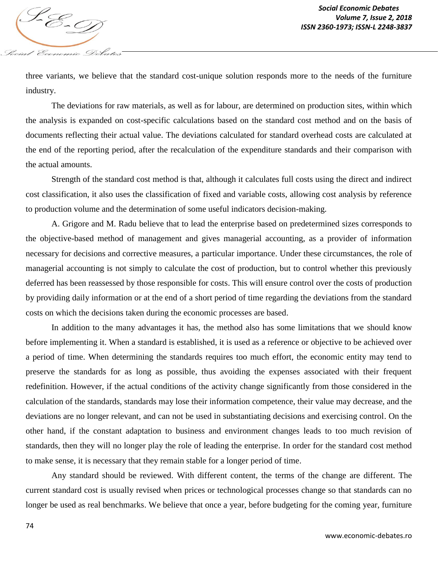three variants, we believe that the standard cost-unique solution responds more to the needs of the furniture industry.

The deviations for raw materials, as well as for labour, are determined on production sites, within which the analysis is expanded on cost-specific calculations based on the standard cost method and on the basis of documents reflecting their actual value. The deviations calculated for standard overhead costs are calculated at the end of the reporting period, after the recalculation of the expenditure standards and their comparison with the actual amounts.

Strength of the standard cost method is that, although it calculates full costs using the direct and indirect cost classification, it also uses the classification of fixed and variable costs, allowing cost analysis by reference to production volume and the determination of some useful indicators decision-making.

A. Grigore and M. Radu believe that to lead the enterprise based on predetermined sizes corresponds to the objective-based method of management and gives managerial accounting, as a provider of information necessary for decisions and corrective measures, a particular importance. Under these circumstances, the role of managerial accounting is not simply to calculate the cost of production, but to control whether this previously deferred has been reassessed by those responsible for costs. This will ensure control over the costs of production by providing daily information or at the end of a short period of time regarding the deviations from the standard costs on which the decisions taken during the economic processes are based.

In addition to the many advantages it has, the method also has some limitations that we should know before implementing it. When a standard is established, it is used as a reference or objective to be achieved over a period of time. When determining the standards requires too much effort, the economic entity may tend to preserve the standards for as long as possible, thus avoiding the expenses associated with their frequent redefinition. However, if the actual conditions of the activity change significantly from those considered in the calculation of the standards, standards may lose their information competence, their value may decrease, and the deviations are no longer relevant, and can not be used in substantiating decisions and exercising control. On the other hand, if the constant adaptation to business and environment changes leads to too much revision of standards, then they will no longer play the role of leading the enterprise. In order for the standard cost method to make sense, it is necessary that they remain stable for a longer period of time.

Any standard should be reviewed. With different content, the terms of the change are different. The current standard cost is usually revised when prices or technological processes change so that standards can no longer be used as real benchmarks. We believe that once a year, before budgeting for the coming year, furniture

Social Economic Debates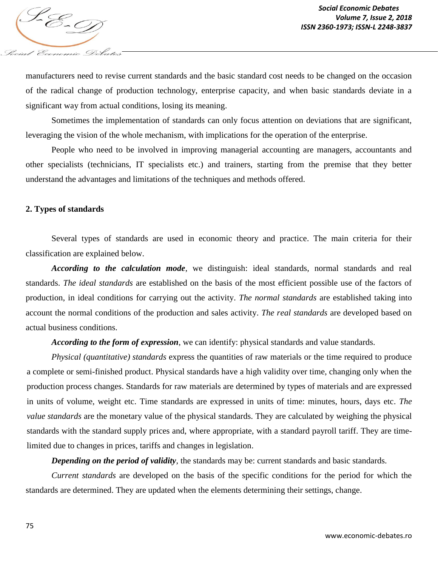

manufacturers need to revise current standards and the basic standard cost needs to be changed on the occasion of the radical change of production technology, enterprise capacity, and when basic standards deviate in a significant way from actual conditions, losing its meaning.

Sometimes the implementation of standards can only focus attention on deviations that are significant, leveraging the vision of the whole mechanism, with implications for the operation of the enterprise.

People who need to be involved in improving managerial accounting are managers, accountants and other specialists (technicians, IT specialists etc.) and trainers, starting from the premise that they better understand the advantages and limitations of the techniques and methods offered.

#### **2. Types of standards**

Several types of standards are used in economic theory and practice. The main criteria for their classification are explained below.

*According to the calculation mode*, we distinguish: ideal standards, normal standards and real standards. *The ideal standards* are established on the basis of the most efficient possible use of the factors of production, in ideal conditions for carrying out the activity. *The normal standards* are established taking into account the normal conditions of the production and sales activity. *The real standards* are developed based on actual business conditions.

*According to the form of expression*, we can identify: physical standards and value standards.

*Physical (quantitative) standards* express the quantities of raw materials or the time required to produce a complete or semi-finished product. Physical standards have a high validity over time, changing only when the production process changes. Standards for raw materials are determined by types of materials and are expressed in units of volume, weight etc. Time standards are expressed in units of time: minutes, hours, days etc. *The value standards* are the monetary value of the physical standards. They are calculated by weighing the physical standards with the standard supply prices and, where appropriate, with a standard payroll tariff. They are timelimited due to changes in prices, tariffs and changes in legislation.

*Depending on the period of validity*, the standards may be: current standards and basic standards*.*

*Current standards* are developed on the basis of the specific conditions for the period for which the standards are determined. They are updated when the elements determining their settings, change.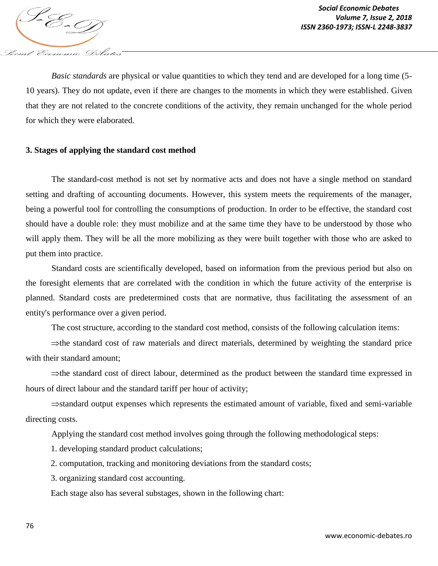

*Basic standards* are physical or value quantities to which they tend and are developed for a long time (5- 10 years). They do not update, even if there are changes to the moments in which they were established. Given that they are not related to the concrete conditions of the activity, they remain unchanged for the whole period for which they were elaborated.

#### **3. Stages of applying the standard cost method**

The standard-cost method is not set by normative acts and does not have a single method on standard setting and drafting of accounting documents. However, this system meets the requirements of the manager, being a powerful tool for controlling the consumptions of production. In order to be effective, the standard cost should have a double role: they must mobilize and at the same time they have to be understood by those who will apply them. They will be all the more mobilizing as they were built together with those who are asked to put them into practice.

Standard costs are scientifically developed, based on information from the previous period but also on the foresight elements that are correlated with the condition in which the future activity of the enterprise is planned. Standard costs are predetermined costs that are normative, thus facilitating the assessment of an entity's performance over a given period.

The cost structure, according to the standard cost method, consists of the following calculation items:

 $\Rightarrow$  the standard cost of raw materials and direct materials, determined by weighting the standard price with their standard amount;

 $\Rightarrow$  the standard cost of direct labour, determined as the product between the standard time expressed in hours of direct labour and the standard tariff per hour of activity;

 $\Rightarrow$ standard output expenses which represents the estimated amount of variable, fixed and semi-variable directing costs.

Applying the standard cost method involves going through the following methodological steps:

1. developing standard product calculations;

2. computation, tracking and monitoring deviations from the standard costs;

3. organizing standard cost accounting.

Each stage also has several substages, shown in the following chart: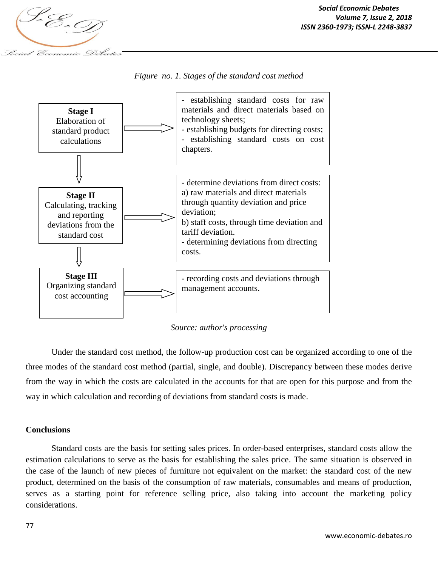

*Figure no. 1. Stages of the standard cost method*



*Source: author's processing*

Under the standard cost method, the follow-up production cost can be organized according to one of the three modes of the standard cost method (partial, single, and double). Discrepancy between these modes derive from the way in which the costs are calculated in the accounts for that are open for this purpose and from the way in which calculation and recording of deviations from standard costs is made.

### **Conclusions**

Standard costs are the basis for setting sales prices. In order-based enterprises, standard costs allow the estimation calculations to serve as the basis for establishing the sales price. The same situation is observed in the case of the launch of new pieces of furniture not equivalent on the market: the standard cost of the new product, determined on the basis of the consumption of raw materials, consumables and means of production, serves as a starting point for reference selling price, also taking into account the marketing policy considerations.